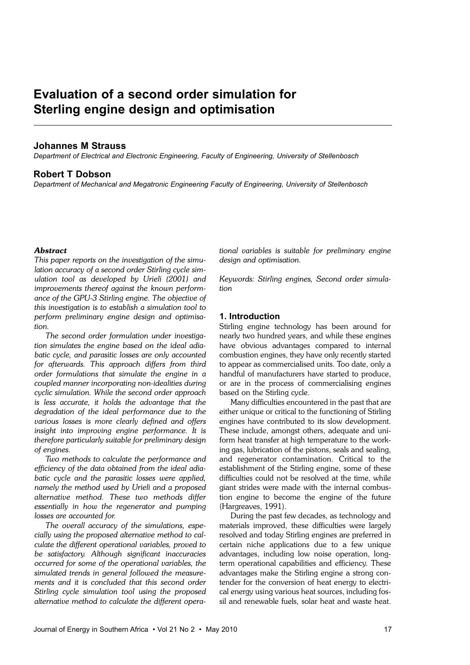# **Evaluation of a second order simulation for Sterling engine design and optimisation**

# **Johannes M Strauss**

*Department of Electrical and Electronic Engineering, Faculty of Engineering, University of Stellenbosch*

# **Robert T Dobson**

*Department of Mechanical and Megatronic Engineering Faculty of Engineering, University of Stellenbosch* 

# *Abstract*

*This paper reports on the investigation of the simulation accuracy of a second order Stirling cycle simulation tool as developed by Urieli (2001) and improvements thereof against the known performance of the GPU-3 Stirling engine. The objective of this investigation is to establish a simulation tool to perform preliminary engine design and optimisation.*

*The second order formulation under investigation simulates the engine based on the ideal adiabatic cycle, and parasitic losses are only accounted for afterwards. This approach differs from third order formulations that simulate the engine in a coupled manner incorporating non-idealities during cyclic simulation. While the second order approach is less accurate, it holds the advantage that the degradation of the ideal performance due to the various losses is more clearly defined and offers insight into improving engine performance. It is therefore particularly suitable for preliminary design of engines.*

*Two methods to calculate the performance and efficiency of the data obtained from the ideal adiabatic cycle and the parasitic losses were applied, namely the method used by Urieli and a proposed alternative method. These two methods differ essentially in how the regenerator and pumping losses are accounted for.*

*The overall accuracy of the simulations, especially using the proposed alternative method to calculate the different operational variables, proved to be satisfactory. Although significant inaccuracies occurred for some of the operational variables, the simulated trends in general followed the measurements and it is concluded that this second order Stirling cycle simulation tool using the proposed alternative method to calculate the different opera-* *tional variables is suitable for preliminary engine design and optimisation.*

*Keywords: Stirling engines, Second order simulation*

# **1. Introduction**

Stirling engine technology has been around for nearly two hundred years, and while these engines have obvious advantages compared to internal combustion engines, they have only recently started to appear as commercialised units. Too date, only a handful of manufacturers have started to produce, or are in the process of commercialising engines based on the Stirling cycle.

Many difficulties encountered in the past that are either unique or critical to the functioning of Stirling engines have contributed to its slow development. These include, amongst others, adequate and uniform heat transfer at high temperature to the working gas, lubrication of the pistons, seals and sealing, and regenerator contamination. Critical to the establishment of the Stirling engine, some of these difficulties could not be resolved at the time, while giant strides were made with the internal combustion engine to become the engine of the future (Hargreaves, 1991).

During the past few decades, as technology and materials improved, these difficulties were largely resolved and today Stirling engines are preferred in certain niche applications due to a few unique advantages, including low noise operation, longterm operational capabilities and efficiency. These advantages make the Stirling engine a strong contender for the conversion of heat energy to electrical energy using various heat sources, including fossil and renewable fuels, solar heat and waste heat.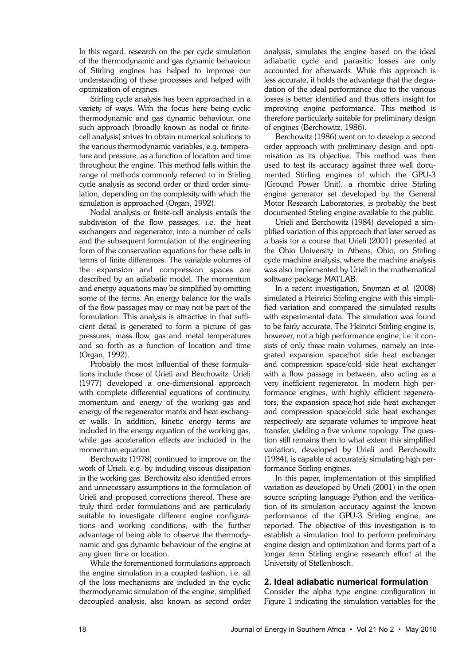In this regard, research on the per cycle simulation of the thermodynamic and gas dynamic behaviour of Stirling engines has helped to improve our understanding of these processes and helped with optimization of engines.

Stirling cycle analysis has been approached in a variety of ways. With the focus here being cyclic thermodynamic and gas dynamic behaviour, one such approach (broadly known as nodal or finitecell analysis) strives to obtain numerical solutions to the various thermodynamic variables, e.g. temperature and pressure, as a function of location and time throughout the engine. This method falls within the range of methods commonly referred to in Stirling cycle analysis as second order or third order simulation, depending on the complexity with which the simulation is approached (Organ, 1992).

Nodal analysis or finite-cell analysis entails the subdivision of the flow passages, i.e. the heat exchangers and regenerator, into a number of cells and the subsequent formulation of the engineering form of the conservation equations for these cells in terms of finite differences. The variable volumes of the expansion and compression spaces are described by an adiabatic model. The momentum and energy equations may be simplified by omitting some of the terms. An energy balance for the walls of the flow passages may or may not be part of the formulation. This analysis is attractive in that sufficient detail is generated to form a picture of gas pressures, mass flow, gas and metal temperatures and so forth as a function of location and time (Organ, 1992).

Probably the most influential of these formulations include those of Urieli and Berchowitz. Urieli (1977) developed a one-dimensional approach with complete differential equations of continuity, momentum and energy of the working gas and energy of the regenerator matrix and heat exchanger walls. In addition, kinetic energy terms are included in the energy equation of the working gas, while gas acceleration effects are included in the momentum equation.

Berchowitz (1978) continued to improve on the work of Urieli, e.g. by including viscous dissipation in the working gas. Berchowitz also identified errors and unnecessary assumptions in the formulation of Urieli and proposed corrections thereof. These are truly third order formulations and are particularly suitable to investigate different engine configurations and working conditions, with the further advantage of being able to observe the thermodynamic and gas dynamic behaviour of the engine at any given time or location.

While the forementioned formulations approach the engine simulation in a coupled fashion, i.e. all of the loss mechanisms are included in the cyclic thermodynamic simulation of the engine, simplified decoupled analysis, also known as second order

analysis, simulates the engine based on the ideal adiabatic cycle and parasitic losses are only accounted for afterwards. While this approach is less accurate, it holds the advantage that the degradation of the ideal performance due to the various losses is better identified and thus offers insight for improving engine performance. This method is therefore particularly suitable for preliminary design of engines (Berchowitz, 1986).

Berchowitz (1986) went on to develop a second order approach with preliminary design and optimisation as its objective. This method was then used to test its accuracy against three well documented Stirling engines of which the GPU-3 (Ground Power Unit), a rhombic drive Stirling engine generator set developed by the General Motor Research Laboratories, is probably the best documented Stirling engine available to the public.

Urieli and Berchowitz (1984) developed a simplified variation of this approach that later served as a basis for a course that Urieli (2001) presented at the Ohio University in Athens, Ohio, on Stirling cycle machine analysis, where the machine analysis was also implemented by Urieli in the mathematical software package MATLAB.

In a recent investigation, Snyman *et al.* (2008) simulated a Heinrici Stirling engine with this simplified variation and compared the simulated results with experimental data. The simulation was found to be fairly accurate. The Heinrici Stirling engine is, however, not a high performance engine, i.e. it consists of only three main volumes, namely an integrated expansion space/hot side heat exchanger and compression space/cold side heat exchanger with a flow passage in between, also acting as a very inefficient regenerator. In modern high performance engines, with highly efficient regenerators, the expansion space/hot side heat exchanger and compression space/cold side heat exchanger respectively are separate volumes to improve heat transfer, yielding a five volume topology. The question still remains then to what extent this simplified variation, developed by Urieli and Berchowitz (1984), is capable of accurately simulating high performance Stirling engines.

In this paper, implementation of this simplified variation as developed by Urieli (2001) in the open source scripting language Python and the verification of its simulation accuracy against the known performance of the GPU-3 Stirling engine, are reported. The objective of this investigation is to establish a simulation tool to perform preliminary engine design and optimization and forms part of a longer term Stirling engine research effort at the University of Stellenbosch.

# **2. Ideal adiabatic numerical formulation**

Consider the alpha type engine configuration in Figure 1 indicating the simulation variables for the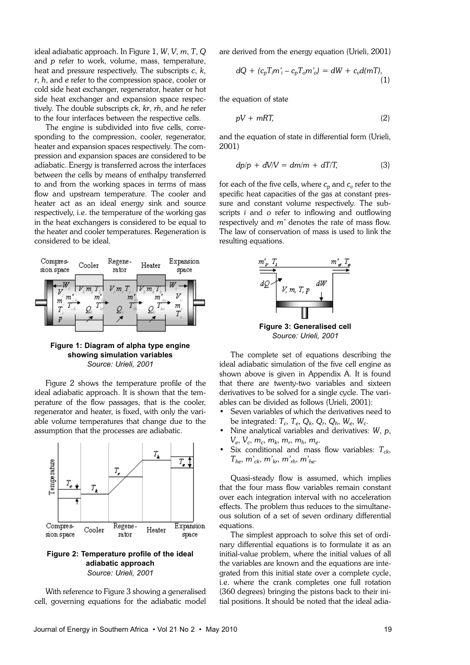ideal adiabatic approach. In Figure 1, *W*, *V*, *m*, *T*, *Q* and *p* refer to work, volume, mass, temperature, heat and pressure respectively. The subscripts *c*, *k*, *r*, *h*, and *e* refer to the compression space, cooler or cold side heat exchanger, regenerator, heater or hot side heat exchanger and expansion space respectively. The double subscripts *ck*, *kr*, *rh*, and *he* refer to the four interfaces between the respective cells.

The engine is subdivided into five cells, corresponding to the compression, cooler, regenerator, heater and expansion spaces respectively. The compression and expansion spaces are considered to be adiabatic. Energy is transferred across the interfaces between the cells by means of enthalpy transferred to and from the working spaces in terms of mass flow and upstream temperature. The cooler and heater act as an ideal energy sink and source respectively, i.e. the temperature of the working gas in the heat exchangers is considered to be equal to the heater and cooler temperatures. Regeneration is considered to be ideal.



**Figure 1: Diagram of alpha type engine showing simulation variables**  *Source: Urieli, 2001*

Figure 2 shows the temperature profile of the ideal adiabatic approach. It is shown that the temperature of the flow passages, that is the cooler, regenerator and heater, is fixed, with only the variable volume temperatures that change due to the assumption that the processes are adiabatic.



*Source: Urieli, 2001*

With reference to Figure 3 showing a generalised cell, governing equations for the adiabatic model are derived from the energy equation (Urieli, 2001)

$$
dQ + (c_p T_i m'_i - c_p T_o m'_o) = dW + c_v d(mT),
$$
\n(1)

the equation of state

$$
pV + mRT, \tag{2}
$$

and the equation of state in differential form (Urieli, 2001)

$$
dp/p + dV/V = dm/m + dT/T,
$$
 (3)

for each of the five cells, where  $c_p$  and  $c_v$  refer to the specific heat capacities of the gas at constant pressure and constant volume respectively. The subscripts *i* and *o* refer to inflowing and outflowing respectively and *m'* denotes the rate of mass flow. The law of conservation of mass is used to link the resulting equations.



**Figure 3: Generalised cell**  *Source: Urieli, 2001*

The complete set of equations describing the ideal adiabatic simulation of the five cell engine as shown above is given in Appendix A. It is found that there are twenty-two variables and sixteen derivatives to be solved for a single cycle. The variables can be divided as follows (Urieli, 2001):

- Seven variables of which the derivatives need to be integrated:  $T_c$ ,  $T_e$ ,  $Q_k$ ,  $Q_r$ ,  $Q_h$ ,  $W_e$ ,  $W_c$ .
- Nine analytical variables and derivatives: *W*, *p*, *Ve* , *V<sup>c</sup>* , *m<sup>c</sup>* , *m<sup>k</sup>* , *m<sup>r</sup>* , *m<sup>h</sup>* , *m<sup>e</sup>* .
- Six conditional and mass flow variables:  $T_{ck}$ ,  $T_{he}$ ,  $m'_{ck}$ ,  $m'_{kr}$ ,  $m'_{rh}$ ,  $m'_{he}$ .

Quasi-steady flow is assumed, which implies that the four mass flow variables remain constant over each integration interval with no acceleration effects. The problem thus reduces to the simultaneous solution of a set of seven ordinary differential equations.

The simplest approach to solve this set of ordinary differential equations is to formulate it as an initial-value problem, where the initial values of all the variables are known and the equations are integrated from this initial state over a complete cycle, i.e. where the crank completes one full rotation (360 degrees) bringing the pistons back to their initial positions. It should be noted that the ideal adia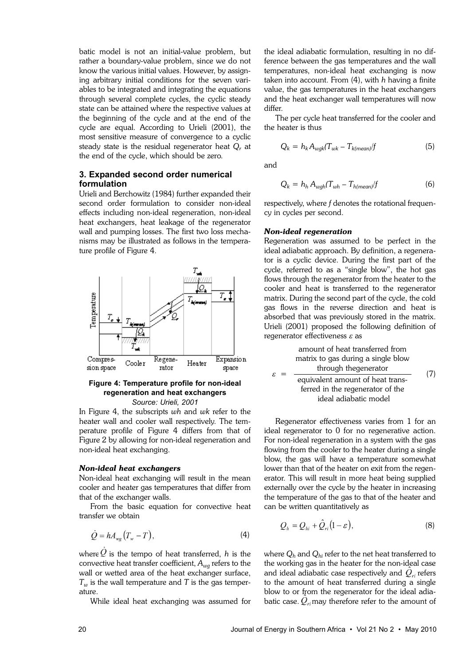batic model is not an initial-value problem, but rather a boundary-value problem, since we do not know the various initial values. However, by assigning arbitrary initial conditions for the seven variables to be integrated and integrating the equations through several complete cycles, the cyclic steady state can be attained where the respective values at the beginning of the cycle and at the end of the cycle are equal. According to Urieli (2001), the most sensitive measure of convergence to a cyclic steady state is the residual regenerator heat *Q<sup>r</sup>* at the end of the cycle, which should be zero.

# **3. Expanded second order numerical formulation**

Urieli and Berchowitz (1984) further expanded their second order formulation to consider non-ideal effects including non-ideal regeneration, non-ideal heat exchangers, heat leakage of the regenerator wall and pumping losses. The first two loss mechanisms may be illustrated as follows in the temperature profile of Figure 4.



# **Figure 4: Temperature profile for non-ideal regeneration and heat exchangers**  *Source: Urieli, 2001*

In Figure 4, the subscripts *wh* and *wk* refer to the heater wall and cooler wall respectively. The temperature profile of Figure 4 differs from that of Figure 2 by allowing for non-ideal regeneration and non-ideal heat exchanging.

#### *Non-ideal heat exchangers*

Non-ideal heat exchanging will result in the mean cooler and heater gas temperatures that differ from that of the exchanger walls.

From the basic equation for convective heat transfer we obtain

$$
\dot{Q} = h A_{wg} \left( T_w - T \right),\tag{4}
$$

where  $Q$  is the tempo of heat transferred, *h* is the convective heat transfer coefficient, *Awg* refers to the wall or wetted area of the heat exchanger surface,  $T_w$  is the wall temperature and *T* is the gas temperature.

While ideal heat exchanging was assumed for

the ideal adiabatic formulation, resulting in no difference between the gas temperatures and the wall temperatures, non-ideal heat exchanging is now taken into account. From (4), with *h* having a finite value, the gas temperatures in the heat exchangers and the heat exchanger wall temperatures will now differ.

The per cycle heat transferred for the cooler and the heater is thus

$$
Q_k = h_k A_{wgh} (T_{wk} - T_{k(mean)}/f) \tag{5}
$$

and

 $\mathcal{E}$ 

$$
Q_k = h_h A_{wgh} (T_{wh} - T_{h(mean)}/f)
$$
 (6)

respectively, where *f* denotes the rotational frequency in cycles per second.

#### *Non-ideal regeneration*

Regeneration was assumed to be perfect in the ideal adiabatic approach. By definition, a regenerator is a cyclic device. During the first part of the cycle, referred to as a "single blow", the hot gas flows through the regenerator from the heater to the cooler and heat is transferred to the regenerator matrix. During the second part of the cycle, the cold gas flows in the reverse direction and heat is absorbed that was previously stored in the matrix. Urieli (2001) proposed the following definition of regenerator effectiveness  $\varepsilon$  as

(7) amount of heat transferred from matrix to gas during a single blow through thegenerator equivalent amount of heat transferred in the regenerator of the ideal adiabatic model

Regenerator effectiveness varies from 1 for an ideal regenerator to 0 for no regenerative action. For non-ideal regeneration in a system with the gas flowing from the cooler to the heater during a single blow, the gas will have a temperature somewhat lower than that of the heater on exit from the regenerator. This will result in more heat being supplied externally over the cycle by the heater in increasing the temperature of the gas to that of the heater and can be written quantitatively as

$$
Q_h = Q_{hi} + \hat{Q}_{ri}(1 - \varepsilon), \tag{8}
$$

where *Q<sup>h</sup>* and *Qhi* refer to the net heat transferred to the working gas in the heater for the non-ideal case and ideal adiabatic case respectively and  $Q_{ri}$  refers to the amount of heat transferred during a single blow to or from the regenerator for the ideal adiabatic case.  $Q_{ri}$  may therefore refer to the amount of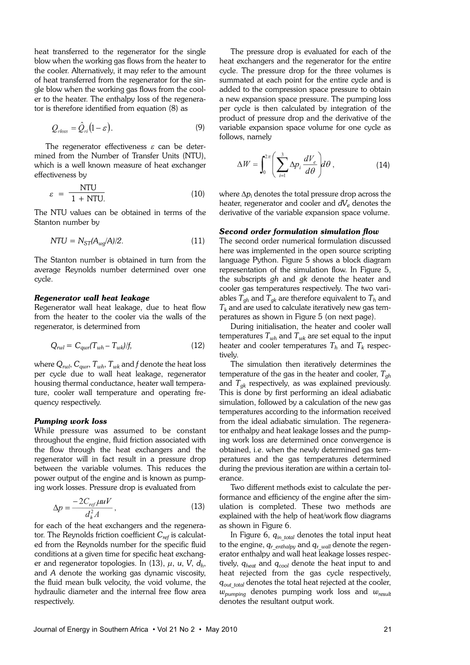heat transferred to the regenerator for the single blow when the working gas flows from the heater to the cooler. Alternatively, it may refer to the amount of heat transferred from the regenerator for the single blow when the working gas flows from the cooler to the heater. The enthalpy loss of the regenerator is therefore identified from equation (8) as

$$
Q_{rloss} = \hat{Q}_{ri}(1-\varepsilon). \tag{9}
$$

The regenerator effectiveness  $\varepsilon$  can be determined from the Number of Transfer Units (NTU), which is a well known measure of heat exchanger effectiveness by

$$
\varepsilon = \frac{\text{NTU}}{1 + \text{NTU}}\tag{10}
$$

The NTU values can be obtained in terms of the Stanton number by

$$
NTU = N_{ST}(A_{wg}/A)/2.
$$
 (11)

The Stanton number is obtained in turn from the average Reynolds number determined over one cycle.

# *Regenerator wall heat leakage*

Regenerator wall heat leakage, due to heat flow from the heater to the cooler via the walls of the regenerator, is determined from

$$
Q_{\text{rwl}} = C_{\text{qwr}}(T_{\text{wh}} - T_{\text{wk}})/f,\tag{12}
$$

where  $Q_{rwl}$ ,  $C_{awr}$ ,  $T_{wh}$ ,  $T_{wk}$  and *f* denote the heat loss per cycle due to wall heat leakage, regenerator housing thermal conductance, heater wall temperature, cooler wall temperature and operating frequency respectively.

# *Pumping work loss*

While pressure was assumed to be constant throughout the engine, fluid friction associated with the flow through the heat exchangers and the regenerator will in fact result in a pressure drop between the variable volumes. This reduces the power output of the engine and is known as pumping work losses. Pressure drop is evaluated from

$$
\Delta p = \frac{-2C_{ref} \mu uV}{d_h^2 A},\qquad(13)
$$

for each of the heat exchangers and the regenerator. The Reynolds friction coefficient *Cref* is calculated from the Reynolds number for the specific fluid conditions at a given time for specific heat exchanger and regenerator topologies. In (13), µ, *u*, *V*, *d<sup>h</sup>* , and *A* denote the working gas dynamic viscosity, the fluid mean bulk velocity, the void volume, the hydraulic diameter and the internal free flow area respectively.

The pressure drop is evaluated for each of the heat exchangers and the regenerator for the entire cycle. The pressure drop for the three volumes is summated at each point for the entire cycle and is added to the compression space pressure to obtain a new expansion space pressure. The pumping loss per cycle is then calculated by integration of the product of pressure drop and the derivative of the variable expansion space volume for one cycle as follows, namely

$$
\Delta W = \int_0^{2\pi} \left( \sum_{i=1}^3 \Delta p_i \frac{dV_e}{d\theta} \right) d\theta \,, \tag{14}
$$

where ∆*p<sup>i</sup>* denotes the total pressure drop across the heater, regenerator and cooler and *dV<sup>e</sup>* denotes the derivative of the variable expansion space volume.

#### *Second order formulation simulation flow*

The second order numerical formulation discussed here was implemented in the open source scripting language Python. Figure 5 shows a block diagram representation of the simulation flow. In Figure 5, the subscripts *gh* and *gk* denote the heater and cooler gas temperatures respectively. The two variables  $T_{gh}$  and  $T_{gk}$  are therefore equivalent to  $T_h$  and *T<sup>k</sup>* and are used to calculate iteratively new gas temperatures as shown in Figure 5 (on next page).

During initialisation, the heater and cooler wall temperatures  $T_{wh}$  and  $T_{wk}$  are set equal to the input heater and cooler temperatures  $T_h$  and  $T_k$  respectively.

The simulation then iteratively determines the temperature of the gas in the heater and cooler, *Tgh* and *Tgk* respectively, as was explained previously. This is done by first performing an ideal adiabatic simulation, followed by a calculation of the new gas temperatures according to the information received from the ideal adiabatic simulation. The regenerator enthalpy and heat leakage losses and the pumping work loss are determined once convergence is obtained, i.e. when the newly determined gas temperatures and the gas temperatures determined during the previous iteration are within a certain tolerance.

Two different methods exist to calculate the performance and efficiency of the engine after the simulation is completed. These two methods are explained with the help of heat/work flow diagrams as shown in Figure 6.

In Figure 6, *qin\_total* denotes the total input heat to the engine, *qr\_enthalpy* and *qr\_wall* denote the regenerator enthalpy and wall heat leakage losses respectively, *qheat* and *qcool* denote the heat input to and heat rejected from the gas cycle respectively,  $q_{out\_total}$  denotes the total heat rejected at the cooler, *wpumping* denotes pumping work loss and *wresult* denotes the resultant output work.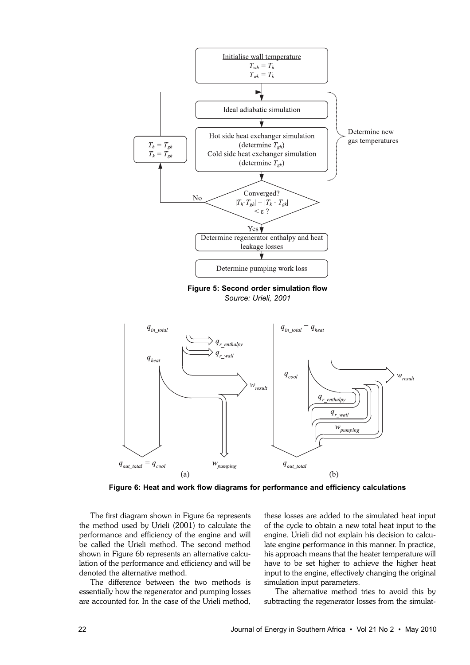

**Figure 6: Heat and work flow diagrams for performance and efficiency calculations**

The first diagram shown in Figure 6a represents the method used by Urieli (2001) to calculate the performance and efficiency of the engine and will be called the Urieli method. The second method shown in Figure 6b represents an alternative calculation of the performance and efficiency and will be denoted the alternative method.

The difference between the two methods is essentially how the regenerator and pumping losses are accounted for. In the case of the Urieli method,

these losses are added to the simulated heat input of the cycle to obtain a new total heat input to the engine. Urieli did not explain his decision to calculate engine performance in this manner. In practice, his approach means that the heater temperature will have to be set higher to achieve the higher heat input to the engine, effectively changing the original simulation input parameters.

The alternative method tries to avoid this by subtracting the regenerator losses from the simulat-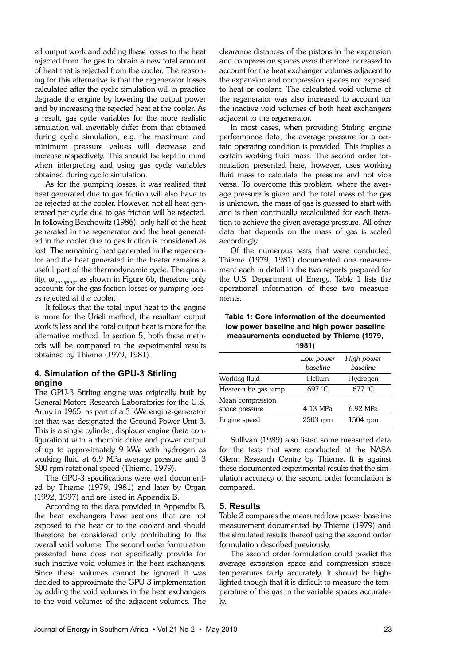ed output work and adding these losses to the heat rejected from the gas to obtain a new total amount of heat that is rejected from the cooler. The reasoning for this alternative is that the regenerator losses calculated after the cyclic simulation will in practice degrade the engine by lowering the output power and by increasing the rejected heat at the cooler. As a result, gas cycle variables for the more realistic simulation will inevitably differ from that obtained during cyclic simulation, e.g. the maximum and minimum pressure values will decrease and increase respectively. This should be kept in mind when interpreting and using gas cycle variables obtained during cyclic simulation.

As for the pumping losses, it was realised that heat generated due to gas friction will also have to be rejected at the cooler. However, not all heat generated per cycle due to gas friction will be rejected. In following Berchowitz (1986), only half of the heat generated in the regenerator and the heat generated in the cooler due to gas friction is considered as lost. The remaining heat generated in the regenerator and the heat generated in the heater remains a useful part of the thermodynamic cycle. The quantity, *wpumping*, as shown in Figure 6b, therefore only accounts for the gas friction losses or pumping losses rejected at the cooler.

It follows that the total input heat to the engine is more for the Urieli method, the resultant output work is less and the total output heat is more for the alternative method. In section 5, both these methods will be compared to the experimental results obtained by Thieme (1979, 1981).

# **4. Simulation of the GPU-3 Stirling engine**

The GPU-3 Stirling engine was originally built by General Motors Research Laboratories for the U.S. Army in 1965, as part of a 3 kWe engine-generator set that was designated the Ground Power Unit 3. This is a single cylinder, displacer engine (beta configuration) with a rhombic drive and power output of up to approximately 9 kWe with hydrogen as working fluid at 6.9 MPa average pressure and 3 600 rpm rotational speed (Thieme, 1979).

The GPU-3 specifications were well documented by Thieme (1979, 1981) and later by Organ (1992, 1997) and are listed in Appendix B.

According to the data provided in Appendix B, the heat exchangers have sections that are not exposed to the heat or to the coolant and should therefore be considered only contributing to the overall void volume. The second order formulation presented here does not specifically provide for such inactive void volumes in the heat exchangers. Since these volumes cannot be ignored it was decided to approximate the GPU-3 implementation by adding the void volumes in the heat exchangers to the void volumes of the adjacent volumes. The clearance distances of the pistons in the expansion and compression spaces were therefore increased to account for the heat exchanger volumes adjacent to the expansion and compression spaces not exposed to heat or coolant. The calculated void volume of the regenerator was also increased to account for the inactive void volumes of both heat exchangers adjacent to the regenerator.

In most cases, when providing Stirling engine performance data, the average pressure for a certain operating condition is provided. This implies a certain working fluid mass. The second order formulation presented here, however, uses working fluid mass to calculate the pressure and not vice versa. To overcome this problem, where the average pressure is given and the total mass of the gas is unknown, the mass of gas is guessed to start with and is then continually recalculated for each iteration to achieve the given average pressure. All other data that depends on the mass of gas is scaled accordingly.

Of the numerous tests that were conducted, Thieme (1979, 1981) documented one measurement each in detail in the two reports prepared for the U.S. Department of Energy. Table 1 lists the operational information of these two measurements.

**Table 1: Core information of the documented low power baseline and high power baseline measurements conducted by Thieme (1979, 1981)**

| .                                  |                       |                        |
|------------------------------------|-----------------------|------------------------|
|                                    | Low power<br>baseline | High power<br>baseline |
| Working fluid                      | Helium                | Hydrogen               |
| Heater-tube gas temp.              | 697 °C                | $677^{\circ}$ C        |
| Mean compression<br>space pressure | 4.13 MPa              | 6.92 MPa               |
| Engine speed                       | 2503 rpm              | $1504$ rpm             |

Sullivan (1989) also listed some measured data for the tests that were conducted at the NASA Glenn Research Centre by Thieme. It is against these documented experimental results that the simulation accuracy of the second order formulation is compared.

#### **5. Results**

Table 2 compares the measured low power baseline measurement documented by Thieme (1979) and the simulated results thereof using the second order formulation described previously.

The second order formulation could predict the average expansion space and compression space temperatures fairly accurately. It should be highlighted though that it is difficult to measure the temperature of the gas in the variable spaces accurately.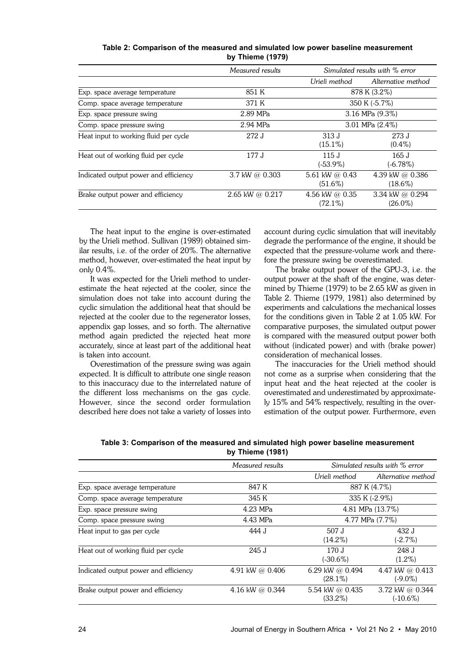| Table 2: Comparison of the measured and simulated low power baseline measurement |  |
|----------------------------------------------------------------------------------|--|
| by Thieme (1979)                                                                 |  |

|                                       | Measured results  |                                | Simulated results with % error |
|---------------------------------------|-------------------|--------------------------------|--------------------------------|
|                                       |                   | Urieli method                  | Alternative method             |
| Exp. space average temperature        | 851 K             |                                | 878 K (3.2%)                   |
| Comp. space average temperature       | 371 K             | 350 K (-5.7%)                  |                                |
| Exp. space pressure swing             | 2.89 MPa          | $3.16$ MPa $(9.3\%)$           |                                |
| Comp. space pressure swing            | 2.94 MPa          | 3.01 MPa $(2.4\%)$             |                                |
| Heat input to working fluid per cycle | 272 J             | 313 J<br>$(15.1\%)$            | 273 J<br>$(0.4\%)$             |
| Heat out of working fluid per cycle   | 177 J             | 115J<br>$(-53.9\%)$            | 165 J<br>$(-6.78\%)$           |
| Indicated output power and efficiency | 3.7 kW @ $0.303$  | 5.61 kW @ $0.43$<br>$(51.6\%)$ | 4.39 kW @ 0.386<br>$(18.6\%)$  |
| Brake output power and efficiency     | 2.65 kW @ $0.217$ | 4.56 kW @ $0.35$<br>$(72.1\%)$ | 3.34 kW @ 0.294<br>$(26.0\%)$  |

The heat input to the engine is over-estimated by the Urieli method. Sullivan (1989) obtained similar results, i.e. of the order of 20%. The alternative method, however, over-estimated the heat input by only 0.4%.

It was expected for the Urieli method to underestimate the heat rejected at the cooler, since the simulation does not take into account during the cyclic simulation the additional heat that should be rejected at the cooler due to the regenerator losses, appendix gap losses, and so forth. The alternative method again predicted the rejected heat more accurately, since at least part of the additional heat is taken into account.

Overestimation of the pressure swing was again expected. It is difficult to attribute one single reason to this inaccuracy due to the interrelated nature of the different loss mechanisms on the gas cycle. However, since the second order formulation described here does not take a variety of losses into

account during cyclic simulation that will inevitably degrade the performance of the engine, it should be expected that the pressure-volume work and therefore the pressure swing be overestimated.

The brake output power of the GPU-3, i.e. the output power at the shaft of the engine, was determined by Thieme (1979) to be 2.65 kW as given in Table 2. Thieme (1979, 1981) also determined by experiments and calculations the mechanical losses for the conditions given in Table 2 at 1.05 kW. For comparative purposes, the simulated output power is compared with the measured output power both without (indicated power) and with (brake power) consideration of mechanical losses.

The inaccuracies for the Urieli method should not come as a surprise when considering that the input heat and the heat rejected at the cooler is overestimated and underestimated by approximately 15% and 54% respectively, resulting in the overestimation of the output power. Furthermore, even

**Table 3: Comparison of the measured and simulated high power baseline measurement by Thieme (1981)**

| Measured results |                               | Simulated results with % error |
|------------------|-------------------------------|--------------------------------|
|                  | Urieli method                 | Alternative method             |
| 847 K            |                               | 887 K (4.7%)                   |
| 345 K            |                               | 335 K (-2.9%)                  |
| $4.23$ MPa       |                               | 4.81 MPa (13.7%)               |
| 4.43 MPa         |                               | 4.77 MPa (7.7%)                |
| 444 J            | 507 J<br>$(14.2\%)$           | 432 J<br>$(-2.7%)$             |
| 245 J            | 170 J<br>(-30.6%)             | 248 J<br>$(1.2\%)$             |
| 4.91 kW @ 0.406  | 6.29 kW @ 0.494<br>$(28.1\%)$ | 4.47 kW @ 0.413<br>$(-9.0\%)$  |
| 4.16 kW @ 0.344  | 5.54 kW @ 0.435<br>$(33.2\%)$ | 3.72 kW @ 0.344<br>$(-10.6\%)$ |
|                  |                               |                                |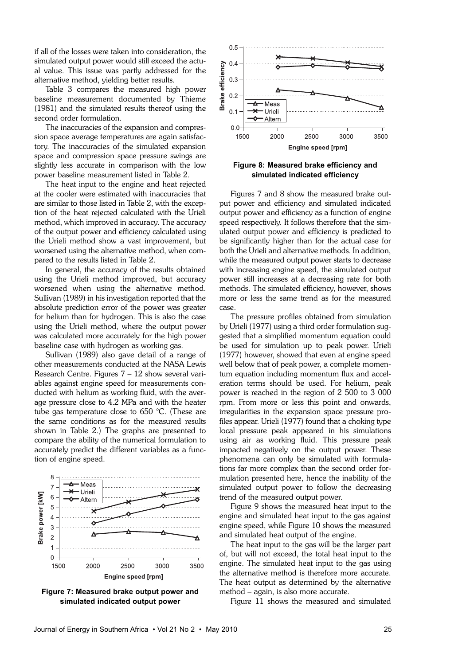if all of the losses were taken into consideration, the simulated output power would still exceed the actual value. This issue was partly addressed for the alternative method, yielding better results.

Table 3 compares the measured high power baseline measurement documented by Thieme (1981) and the simulated results thereof using the second order formulation.

The inaccuracies of the expansion and compression space average temperatures are again satisfactory. The inaccuracies of the simulated expansion space and compression space pressure swings are slightly less accurate in comparison with the low power baseline measurement listed in Table 2.

The heat input to the engine and heat rejected at the cooler were estimated with inaccuracies that are similar to those listed in Table 2, with the exception of the heat rejected calculated with the Urieli method, which improved in accuracy. The accuracy of the output power and efficiency calculated using the Urieli method show a vast improvement, but worsened using the alternative method, when compared to the results listed in Table 2.

In general, the accuracy of the results obtained using the Urieli method improved, but accuracy worsened when using the alternative method. Sullivan (1989) in his investigation reported that the absolute prediction error of the power was greater for helium than for hydrogen. This is also the case using the Urieli method, where the output power was calculated more accurately for the high power baseline case with hydrogen as working gas.

Sullivan (1989) also gave detail of a range of other measurements conducted at the NASA Lewis Research Centre. Figures 7 – 12 show several variables against engine speed for measurements conducted with helium as working fluid, with the average pressure close to 4.2 MPa and with the heater tube gas temperature close to 650 °C. (These are the same conditions as for the measured results shown in Table 2.) The graphs are presented to compare the ability of the numerical formulation to accurately predict the different variables as a function of engine speed.



**Figure 7: Measured brake output power and simulated indicated output power**



**Figure 8: Measured brake efficiency and simulated indicated efficiency**

Figures 7 and 8 show the measured brake output power and efficiency and simulated indicated output power and efficiency as a function of engine speed respectively. It follows therefore that the simulated output power and efficiency is predicted to be significantly higher than for the actual case for both the Urieli and alternative methods. In addition, while the measured output power starts to decrease with increasing engine speed, the simulated output power still increases at a decreasing rate for both methods. The simulated efficiency, however, shows more or less the same trend as for the measured case.

The pressure profiles obtained from simulation by Urieli (1977) using a third order formulation suggested that a simplified momentum equation could be used for simulation up to peak power. Urieli (1977) however, showed that even at engine speed well below that of peak power, a complete momentum equation including momentum flux and acceleration terms should be used. For helium, peak power is reached in the region of 2 500 to 3 000 rpm. From more or less this point and onwards, irregularities in the expansion space pressure profiles appear. Urieli (1977) found that a choking type local pressure peak appeared in his simulations using air as working fluid. This pressure peak impacted negatively on the output power. These phenomena can only be simulated with formulations far more complex than the second order formulation presented here, hence the inability of the simulated output power to follow the decreasing trend of the measured output power.

Figure 9 shows the measured heat input to the engine and simulated heat input to the gas against engine speed, while Figure 10 shows the measured and simulated heat output of the engine.

The heat input to the gas will be the larger part of, but will not exceed, the total heat input to the engine. The simulated heat input to the gas using the alternative method is therefore more accurate. The heat output as determined by the alternative method – again, is also more accurate.

Figure 11 shows the measured and simulated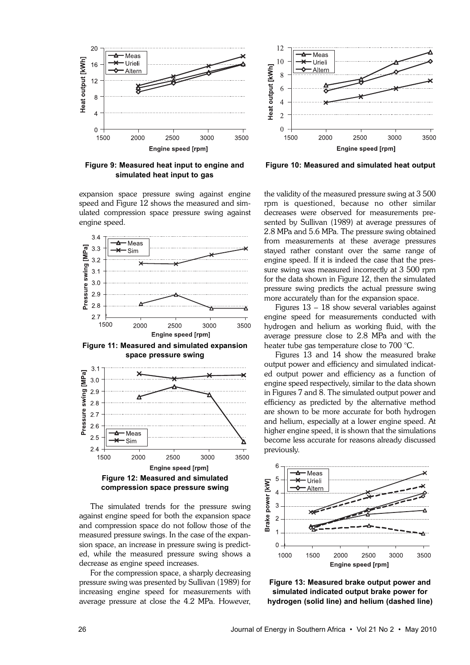

**Figure 9: Measured heat input to engine and simulated heat input to gas**

expansion space pressure swing against engine speed and Figure 12 shows the measured and simulated compression space pressure swing against engine speed.



**Figure 11: Measured and simulated expansion space pressure swing**



The simulated trends for the pressure swing against engine speed for both the expansion space and compression space do not follow those of the measured pressure swings. In the case of the expansion space, an increase in pressure swing is predicted, while the measured pressure swing shows a decrease as engine speed increases.

For the compression space, a sharply decreasing pressure swing was presented by Sullivan (1989) for increasing engine speed for measurements with average pressure at close the 4.2 MPa. However,



**Figure 10: Measured and simulated heat output**

the validity of the measured pressure swing at 3 500 rpm is questioned, because no other similar decreases were observed for measurements presented by Sullivan (1989) at average pressures of 2.8 MPa and 5.6 MPa. The pressure swing obtained from measurements at these average pressures stayed rather constant over the same range of engine speed. If it is indeed the case that the pressure swing was measured incorrectly at 3 500 rpm for the data shown in Figure 12, then the simulated pressure swing predicts the actual pressure swing more accurately than for the expansion space.

Figures 13 – 18 show several variables against engine speed for measurements conducted with hydrogen and helium as working fluid, with the average pressure close to 2.8 MPa and with the heater tube gas temperature close to 700 °C.

Figures 13 and 14 show the measured brake output power and efficiency and simulated indicated output power and efficiency as a function of engine speed respectively, similar to the data shown in Figures 7 and 8. The simulated output power and efficiency as predicted by the alternative method are shown to be more accurate for both hydrogen and helium, especially at a lower engine speed. At higher engine speed, it is shown that the simulations become less accurate for reasons already discussed previously.



**Figure 13: Measured brake output power and simulated indicated output brake power for hydrogen (solid line) and helium (dashed line)**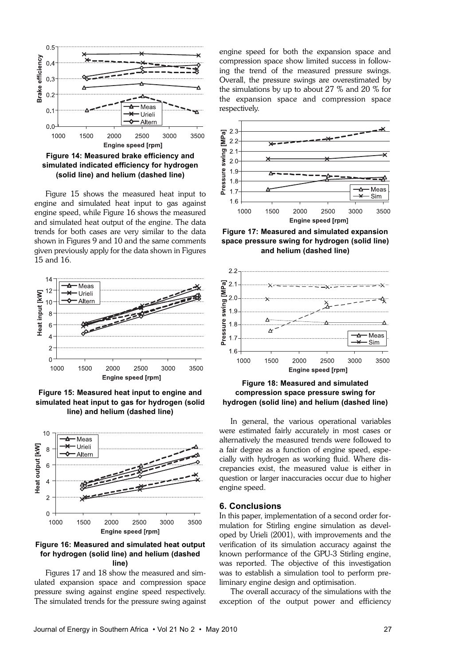

**Figure 14: Measured brake efficiency and simulated indicated efficiency for hydrogen (solid line) and helium (dashed line)**

Figure 15 shows the measured heat input to engine and simulated heat input to gas against engine speed, while Figure 16 shows the measured and simulated heat output of the engine. The data trends for both cases are very similar to the data shown in Figures 9 and 10 and the same comments given previously apply for the data shown in Figures 15 and 16.







# **Figure 16: Measured and simulated heat output for hydrogen (solid line) and helium (dashed line)**

Figures 17 and 18 show the measured and simulated expansion space and compression space pressure swing against engine speed respectively. The simulated trends for the pressure swing against engine speed for both the expansion space and compression space show limited success in following the trend of the measured pressure swings. Overall, the pressure swings are overestimated by the simulations by up to about 27 % and 20 % for the expansion space and compression space respectively.



**Figure 17: Measured and simulated expansion space pressure swing for hydrogen (solid line) and helium (dashed line)**



# **Figure 18: Measured and simulated compression space pressure swing for hydrogen (solid line) and helium (dashed line)**

In general, the various operational variables were estimated fairly accurately in most cases or alternatively the measured trends were followed to a fair degree as a function of engine speed, especially with hydrogen as working fluid. Where discrepancies exist, the measured value is either in question or larger inaccuracies occur due to higher engine speed.

# **6. Conclusions**

In this paper, implementation of a second order formulation for Stirling engine simulation as developed by Urieli (2001), with improvements and the verification of its simulation accuracy against the known performance of the GPU-3 Stirling engine, was reported. The objective of this investigation was to establish a simulation tool to perform preliminary engine design and optimisation.

The overall accuracy of the simulations with the exception of the output power and efficiency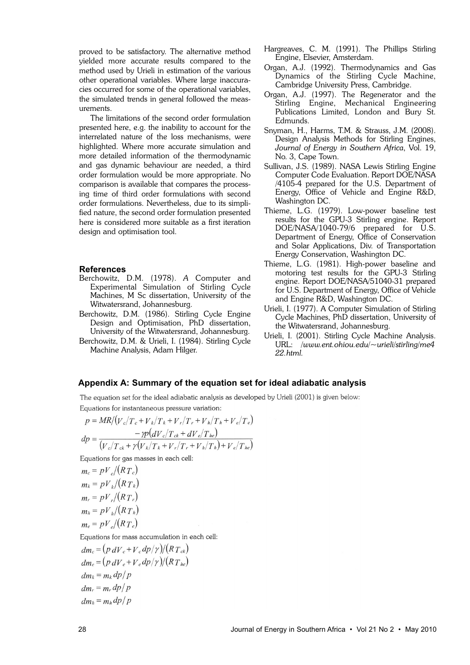proved to be satisfactory. The alternative method yielded more accurate results compared to the method used by Urieli in estimation of the various other operational variables. Where large inaccuracies occurred for some of the operational variables, the simulated trends in general followed the measurements.

The limitations of the second order formulation presented here, e.g. the inability to account for the interrelated nature of the loss mechanisms, were highlighted. Where more accurate simulation and more detailed information of the thermodynamic and gas dynamic behaviour are needed, a third order formulation would be more appropriate. No comparison is available that compares the processing time of third order formulations with second order formulations. Nevertheless, due to its simplified nature, the second order formulation presented here is considered more suitable as a first iteration design and optimisation tool.

#### **References**

- Berchowitz, D.M. (1978). *A* Computer and Experimental Simulation of Stirling Cycle Machines, M Sc dissertation, University of the Witwatersrand, Johannesburg.
- Berchowitz, D.M. (1986). Stirling Cycle Engine Design and Optimisation, PhD dissertation, University of the Witwatersrand, Johannesburg.

Berchowitz, D.M. & Urieli, I. (1984). Stirling Cycle Machine Analysis, Adam Hilger.

- Hargreaves, C. M. (1991). The Phillips Stirling Engine, Elsevier, Amsterdam.
- Organ, A.J. (1992). Thermodynamics and Gas Dynamics of the Stirling Cycle Machine, Cambridge University Press, Cambridge.
- Organ, A.J. (1997). The Regenerator and the Stirling Engine, Mechanical Engineering Publications Limited, London and Bury St. Edmunds.
- Snyman, H., Harms, T.M. & Strauss, J.M. (2008). Design Analysis Methods for Stirling Engines, *Journal of Energy in Southern Africa*, Vol. 19, No. 3, Cape Town.
- Sullivan, J.S. (1989). NASA Lewis Stirling Engine Computer Code Evaluation. Report DOE/NASA /4105-4 prepared for the U.S. Department of Energy, Office of Vehicle and Engine R&D, Washington DC.
- Thieme, L.G. (1979). Low-power baseline test results for the GPU-3 Stirling engine. Report DOE/NASA/1040-79/6 prepared for U.S. Department of Energy, Office of Conservation and Solar Applications, Div. of Transportation Energy Conservation, Washington DC.
- Thieme, L.G. (1981). High-power baseline and motoring test results for the GPU-3 Stirling engine. Report DOE/NASA/51040-31 prepared for U.S. Department of Energy, Office of Vehicle and Engine R&D, Washington DC.
- Urieli, I. (1977). A Computer Simulation of Stirling Cycle Machines, PhD dissertation, University of the Witwatersrand, Johannesburg.
- Urieli, I. (2001). Stirling Cycle Machine Analysis. URL: */www.ent.ohiou.edu/~urieli/stirling/me4 22.html.*

#### **Appendix A: Summary of the equation set for ideal adiabatic analysis**

The equation set for the ideal adiabatic analysis as developed by Urieli (2001) is given below: Equations for instantaneous pressure variation:

$$
p = MR/(V_c/T_c + V_k/T_k + V_r/T_r + V_h/T_h + V_e/T_e)
$$
  
\n
$$
dp = \frac{-p(dV_c/T_{ck} + dV_e/T_{he})}{(V_c/T_{ck} + \gamma(V_k/T_k + V_r/T_r + V_h/T_h) + V_e/T_{he})}
$$

Equations for gas masses in each cell:

$$
m_c = pV_c/(RT_c)
$$
  
\n
$$
m_k = pV_k/(RT_k)
$$
  
\n
$$
m_r = pV_r/(RT_r)
$$
  
\n
$$
m_h = pV_h/(RT_h)
$$
  
\n
$$
m_e = pV_e/(RT_e)
$$
  
\nEquations for mass accumulation in each cell:  
\n
$$
dm_c = (p dV_c + V_c dp/\gamma)/(RT_{bc})
$$
  
\n
$$
dm_k = m_k dp/p
$$
  
\n
$$
dm_h = m_h dp/p
$$
  
\n
$$
dm_h = m_h dp/p
$$